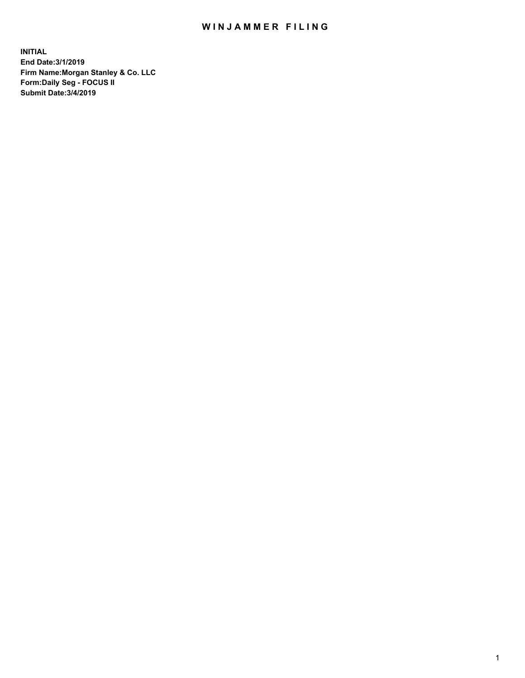## WIN JAMMER FILING

**INITIAL End Date:3/1/2019 Firm Name:Morgan Stanley & Co. LLC Form:Daily Seg - FOCUS II Submit Date:3/4/2019**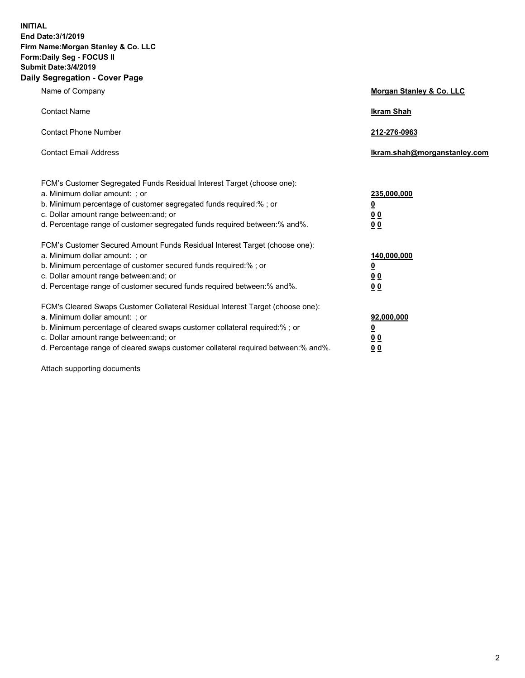**INITIAL End Date:3/1/2019 Firm Name:Morgan Stanley & Co. LLC Form:Daily Seg - FOCUS II Submit Date:3/4/2019 Daily Segregation - Cover Page**

| Name of Company                                                                                                                                                                                                                                                                                                                | Morgan Stanley & Co. LLC                        |
|--------------------------------------------------------------------------------------------------------------------------------------------------------------------------------------------------------------------------------------------------------------------------------------------------------------------------------|-------------------------------------------------|
| <b>Contact Name</b>                                                                                                                                                                                                                                                                                                            | <b>Ikram Shah</b>                               |
| <b>Contact Phone Number</b>                                                                                                                                                                                                                                                                                                    | 212-276-0963                                    |
| <b>Contact Email Address</b>                                                                                                                                                                                                                                                                                                   | Ikram.shah@morganstanley.com                    |
| FCM's Customer Segregated Funds Residual Interest Target (choose one):<br>a. Minimum dollar amount: ; or<br>b. Minimum percentage of customer segregated funds required:% ; or<br>c. Dollar amount range between: and; or<br>d. Percentage range of customer segregated funds required between:% and%.                         | 235,000,000<br><u>0</u><br><u>00</u><br>00      |
| FCM's Customer Secured Amount Funds Residual Interest Target (choose one):<br>a. Minimum dollar amount: ; or<br>b. Minimum percentage of customer secured funds required:%; or<br>c. Dollar amount range between: and; or<br>d. Percentage range of customer secured funds required between:% and%.                            | 140,000,000<br><u>0</u><br>0 <sub>0</sub><br>00 |
| FCM's Cleared Swaps Customer Collateral Residual Interest Target (choose one):<br>a. Minimum dollar amount: ; or<br>b. Minimum percentage of cleared swaps customer collateral required:% ; or<br>c. Dollar amount range between: and; or<br>d. Percentage range of cleared swaps customer collateral required between:% and%. | 92,000,000<br><u>0</u><br>0 Q<br>0 <sub>0</sub> |

Attach supporting documents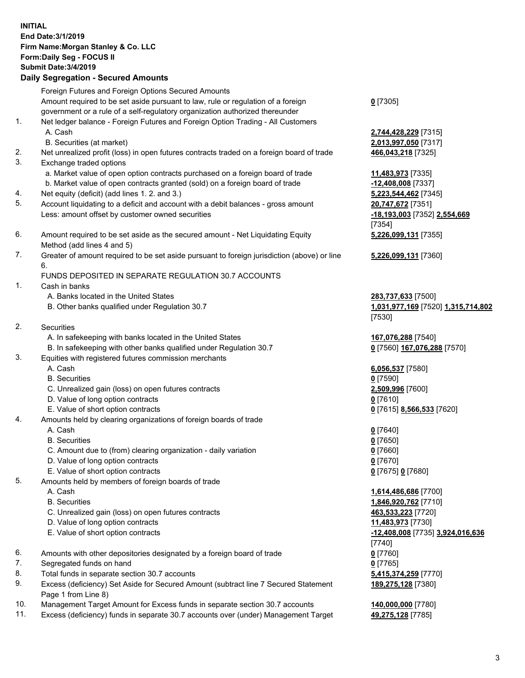| <b>INITIAL</b> | End Date: 3/1/2019<br>Firm Name: Morgan Stanley & Co. LLC<br>Form: Daily Seg - FOCUS II<br><b>Submit Date: 3/4/2019</b><br><b>Daily Segregation - Secured Amounts</b> |                                                   |
|----------------|-----------------------------------------------------------------------------------------------------------------------------------------------------------------------|---------------------------------------------------|
|                | Foreign Futures and Foreign Options Secured Amounts                                                                                                                   |                                                   |
|                | Amount required to be set aside pursuant to law, rule or regulation of a foreign<br>government or a rule of a self-regulatory organization authorized thereunder      | $0$ [7305]                                        |
| 1.             | Net ledger balance - Foreign Futures and Foreign Option Trading - All Customers                                                                                       |                                                   |
|                | A. Cash<br>B. Securities (at market)                                                                                                                                  | 2,744,428,229 [7315]<br>2,013,997,050 [7317]      |
| 2.             | Net unrealized profit (loss) in open futures contracts traded on a foreign board of trade                                                                             | 466,043,218 [7325]                                |
| 3.             | Exchange traded options                                                                                                                                               |                                                   |
|                | a. Market value of open option contracts purchased on a foreign board of trade                                                                                        | 11,483,973 [7335]                                 |
|                | b. Market value of open contracts granted (sold) on a foreign board of trade                                                                                          | -12,408,008 [7337]                                |
| 4.             | Net equity (deficit) (add lines 1.2. and 3.)                                                                                                                          | 5,223,544,462 [7345]                              |
| 5.             | Account liquidating to a deficit and account with a debit balances - gross amount<br>Less: amount offset by customer owned securities                                 | 20,747,672 [7351]<br>-18,193,003 [7352] 2,554,669 |
|                |                                                                                                                                                                       | [7354]                                            |
| 6.             | Amount required to be set aside as the secured amount - Net Liquidating Equity                                                                                        | 5,226,099,131 [7355]                              |
|                | Method (add lines 4 and 5)                                                                                                                                            |                                                   |
| 7.             | Greater of amount required to be set aside pursuant to foreign jurisdiction (above) or line                                                                           | 5,226,099,131 [7360]                              |
|                | 6.<br>FUNDS DEPOSITED IN SEPARATE REGULATION 30.7 ACCOUNTS                                                                                                            |                                                   |
| 1.             | Cash in banks                                                                                                                                                         |                                                   |
|                | A. Banks located in the United States                                                                                                                                 | 283,737,633 [7500]                                |
|                | B. Other banks qualified under Regulation 30.7                                                                                                                        | 1,031,977,169 [7520] 1,315,714,802                |
|                |                                                                                                                                                                       | [7530]                                            |
| 2.             | Securities                                                                                                                                                            |                                                   |
|                | A. In safekeeping with banks located in the United States                                                                                                             | 167,076,288 [7540]                                |
| 3.             | B. In safekeeping with other banks qualified under Regulation 30.7<br>Equities with registered futures commission merchants                                           | 0 [7560] 167,076,288 [7570]                       |
|                | A. Cash                                                                                                                                                               | 6,056,537 [7580]                                  |
|                | <b>B.</b> Securities                                                                                                                                                  | $0$ [7590]                                        |
|                | C. Unrealized gain (loss) on open futures contracts                                                                                                                   | 2,509,996 [7600]                                  |
|                | D. Value of long option contracts                                                                                                                                     | $0$ [7610]                                        |
|                | E. Value of short option contracts                                                                                                                                    | 0 [7615] 8,566,533 [7620]                         |
| 4.             | Amounts held by clearing organizations of foreign boards of trade                                                                                                     |                                                   |
|                | A. Cash<br><b>B.</b> Securities                                                                                                                                       | $0$ [7640]                                        |
|                | C. Amount due to (from) clearing organization - daily variation                                                                                                       | $0$ [7650]<br>$0$ [7660]                          |
|                | D. Value of long option contracts                                                                                                                                     | $0$ [7670]                                        |
|                | E. Value of short option contracts                                                                                                                                    | 0 [7675] 0 [7680]                                 |
| 5.             | Amounts held by members of foreign boards of trade                                                                                                                    |                                                   |
|                | A. Cash                                                                                                                                                               | 1,614,486,686 [7700]                              |
|                | <b>B.</b> Securities                                                                                                                                                  | 1,846,920,762 [7710]                              |
|                | C. Unrealized gain (loss) on open futures contracts                                                                                                                   | 463,533,223 [7720]                                |
|                | D. Value of long option contracts                                                                                                                                     | 11,483,973 [7730]                                 |
|                | E. Value of short option contracts                                                                                                                                    | -12,408,008 [7735] 3,924,016,636                  |
| 6.             | Amounts with other depositories designated by a foreign board of trade                                                                                                | $[7740]$<br>$0$ [7760]                            |
| 7.             | Segregated funds on hand                                                                                                                                              | $0$ [7765]                                        |
| 8.             | Total funds in separate section 30.7 accounts                                                                                                                         | 5,415,374,259 [7770]                              |
| 9.             | Excess (deficiency) Set Aside for Secured Amount (subtract line 7 Secured Statement                                                                                   | 189,275,128 [7380]                                |
|                | Page 1 from Line 8)                                                                                                                                                   |                                                   |

- 10. Management Target Amount for Excess funds in separate section 30.7 accounts **140,000,000** [7780]
- 11. Excess (deficiency) funds in separate 30.7 accounts over (under) Management Target 49,275,128 [7785]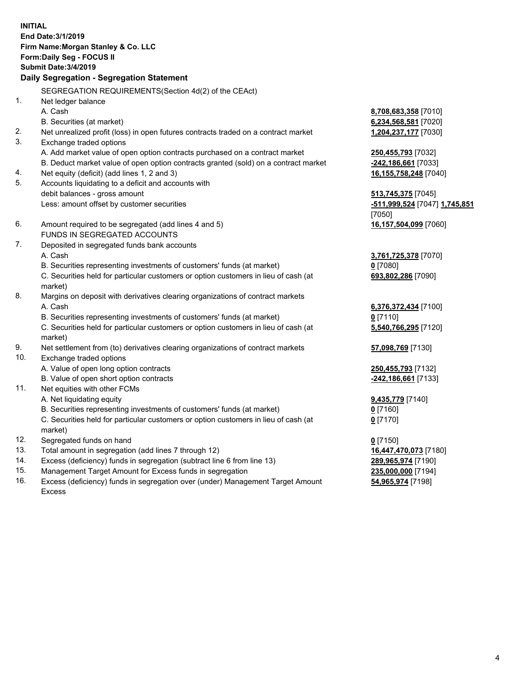**INITIAL End Date:3/1/2019 Firm Name:Morgan Stanley & Co. LLC Form:Daily Seg - FOCUS II Submit Date:3/4/2019 Daily Segregation - Segregation Statement** SEGREGATION REQUIREMENTS(Section 4d(2) of the CEAct) 1. Net ledger balance A. Cash **8,708,683,358** [7010] B. Securities (at market) **6,234,568,581** [7020] 2. Net unrealized profit (loss) in open futures contracts traded on a contract market **1,204,237,177** [7030] 3. Exchange traded options A. Add market value of open option contracts purchased on a contract market **250,455,793** [7032] B. Deduct market value of open option contracts granted (sold) on a contract market **-242,186,661** [7033] 4. Net equity (deficit) (add lines 1, 2 and 3) **16,155,758,248** [7040] 5. Accounts liquidating to a deficit and accounts with debit balances - gross amount **513,745,375** [7045] Less: amount offset by customer securities **-511,999,524** [7047] **1,745,851** [7050] 6. Amount required to be segregated (add lines 4 and 5) **16,157,504,099** [7060] FUNDS IN SEGREGATED ACCOUNTS 7. Deposited in segregated funds bank accounts A. Cash **3,761,725,378** [7070] B. Securities representing investments of customers' funds (at market) **0** [7080] C. Securities held for particular customers or option customers in lieu of cash (at market) **693,802,286** [7090] 8. Margins on deposit with derivatives clearing organizations of contract markets A. Cash **6,376,372,434** [7100] B. Securities representing investments of customers' funds (at market) **0** [7110] C. Securities held for particular customers or option customers in lieu of cash (at market) **5,540,766,295** [7120] 9. Net settlement from (to) derivatives clearing organizations of contract markets **57,098,769** [7130] 10. Exchange traded options A. Value of open long option contracts **250,455,793** [7132] B. Value of open short option contracts **-242,186,661** [7133] 11. Net equities with other FCMs A. Net liquidating equity **9,435,779** [7140] B. Securities representing investments of customers' funds (at market) **0** [7160] C. Securities held for particular customers or option customers in lieu of cash (at market) **0** [7170] 12. Segregated funds on hand **0** [7150] 13. Total amount in segregation (add lines 7 through 12) **16,447,470,073** [7180] 14. Excess (deficiency) funds in segregation (subtract line 6 from line 13) **289,965,974** [7190]

- 15. Management Target Amount for Excess funds in segregation **235,000,000** [7194]
- 16. Excess (deficiency) funds in segregation over (under) Management Target Amount Excess

**54,965,974** [7198]